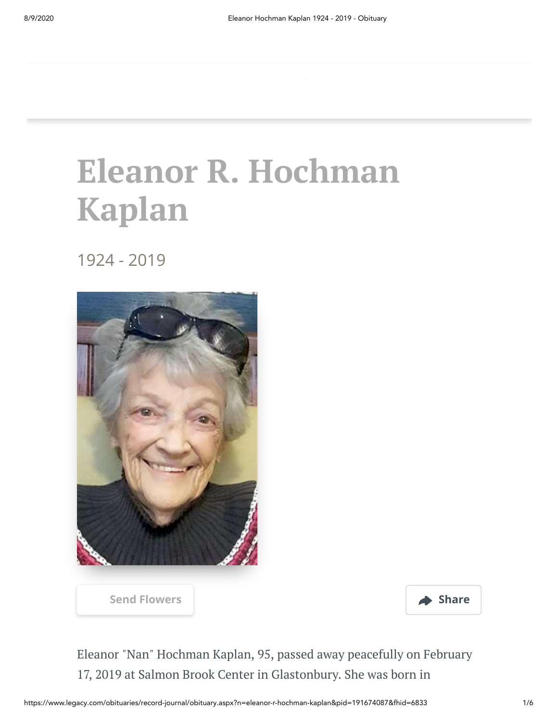## **Eleanor R. Hochman Kaplan**

#### 1924 - 2019





Eleanor "Nan" Hochman Kaplan, 95, passed away peacefully on February 17, 2019 at Salmon Brook Center in Glastonbury. She was born in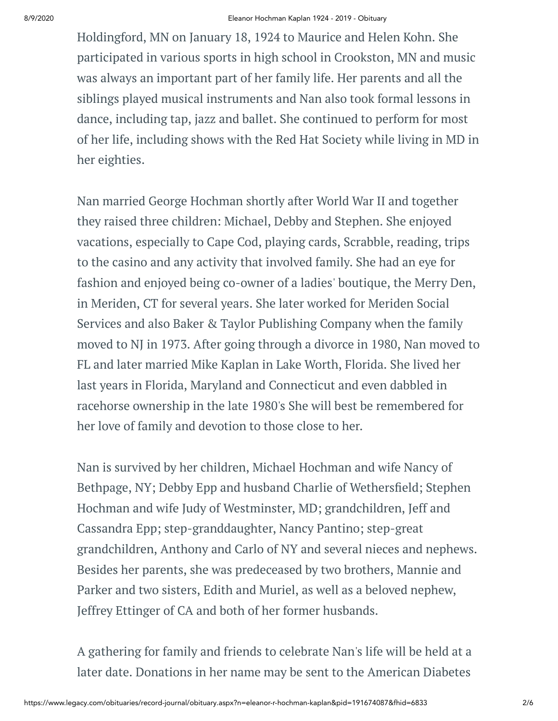Holdingford, MN on January 18, 1924 to Maurice and Helen Kohn. She participated in various sports in high school in Crookston, MN and music was always an important part of her family life. Her parents and all the siblings played musical instruments and Nan also took formal lessons in dance, including tap, jazz and ballet. She continued to perform for most of her life, including shows with the Red Hat Society while living in MD in her eighties.

Nan married George Hochman shortly after World War II and together they raised three children: Michael, Debby and Stephen. She enjoyed vacations, especially to Cape Cod, playing cards, Scrabble, reading, trips to the casino and any activity that involved family. She had an eye for fashion and enjoyed being co-owner of a ladies' boutique, the Merry Den, in Meriden, CT for several years. She later worked for Meriden Social Services and also Baker & Taylor Publishing Company when the family moved to NJ in 1973. After going through a divorce in 1980, Nan moved to FL and later married Mike Kaplan in Lake Worth, Florida. She lived her last years in Florida, Maryland and Connecticut and even dabbled in racehorse ownership in the late 1980's She will best be remembered for her love of family and devotion to those close to her.

Nan is survived by her children, Michael Hochman and wife Nancy of Bethpage, NY; Debby Epp and husband Charlie of Wethersfield; Stephen Hochman and wife Judy of Westminster, MD; grandchildren, Jeff and Cassandra Epp; step-granddaughter, Nancy Pantino; step-great grandchildren, Anthony and Carlo of NY and several nieces and nephews. Besides her parents, she was predeceased by two brothers, Mannie and Parker and two sisters, Edith and Muriel, as well as a beloved nephew, Jeffrey Ettinger of CA and both of her former husbands.

A gathering for family and friends to celebrate Nan's life will be held at a later date. Donations in her name may be sent to the American Diabetes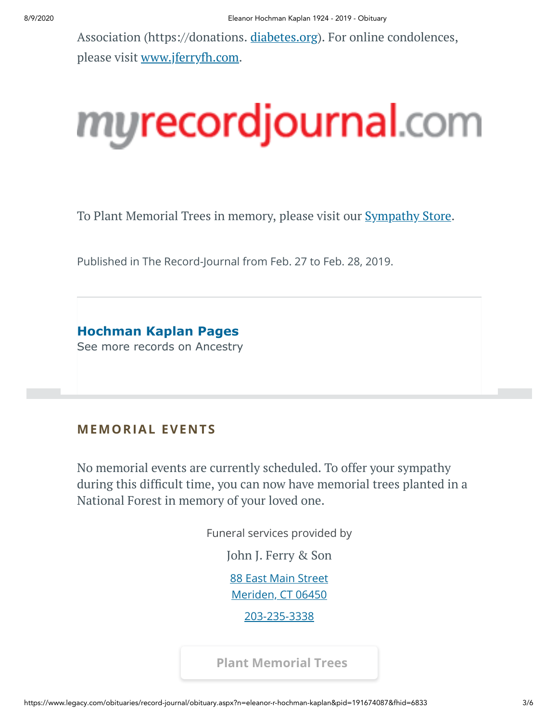Association (https://donations. [diabetes.org](http://diabetes.org/)). For online condolences, please visit [www.jferryfh.com](http://www.jferryfh.com/).

# murecordjournal.com

To Plant Memorial Trees in memory, please visit our **[Sympathy](https://sympathy.legacy.com/en-us/funeral-flowers/name/eleanor-hochman-kaplan-funeral-flowers/p191674087/?affiliateId=1504&pm=240) Store**.

Published in The Record-Journal from Feb. 27 to Feb. 28, 2019.

**[Hochman Kaplan Pages](https://adclick.g.doubleclick.net/pcs/click?xai=AKAOjstMgssPVZkrJKb8CKkIS7UgBatHwsUwbvR95R5Bwgx6wjPWLFyDxHzlFbMbJjOjRhmlmI1Ok-XuHKOhIyvWo0xJoiakG98P0qSu22xquRWAD7S6dR-x8DZjgQO0pv98fYLTuxQX98S2J-sgOgQPd0EKN_fmKDYi1-KM2JzFXIlVseYnXzsSkQgc9qfPSqktE1mt8SM736EPxNuKLfGZncqRs_KVWtiOtwtuq79rOe47ctneZ2zMtM3N2gxI3WvVcbJU7-SvdrZPhqSFjPso7-tPuelC9J6_gyfj1lrWpDorDG5uEI0Z5g&sig=Cg0ArKJSzLPrkRO36BknEAE&urlfix=1&adurl=https://prf.hn/click/camref:1101l3yjc/adref:77841/destination:https://www.ancestry.com/cs/partner-records%3FflowId%3DpartnersBirth%26gsfn%3DEleanor%26gsln%3DHochman+Kaplan)** See more records on Ancestry

#### **MEMORIAL EVENTS**

No memorial events are currently scheduled. To offer your sympathy during this difficult time, you can now have memorial trees planted in a National Forest in memory of your loved one.

Funeral services provided by

John J. [Ferry](https://jferryfh.com/) & Son

[88 East Main Street](https://maps.google.com/?q=88%20East%20Main%20Street%20Meriden,%20CT%2006450)

Meriden, CT 06450

[203-235-3338](tel:2032353338)

**[Plant Memorial Trees](https://sympathy.legacy.com/en-us/funeral-flowers/name/eleanor-hochman-kaplan-funeral-flowers/p191674087/?affiliateId=1504&pm=271)**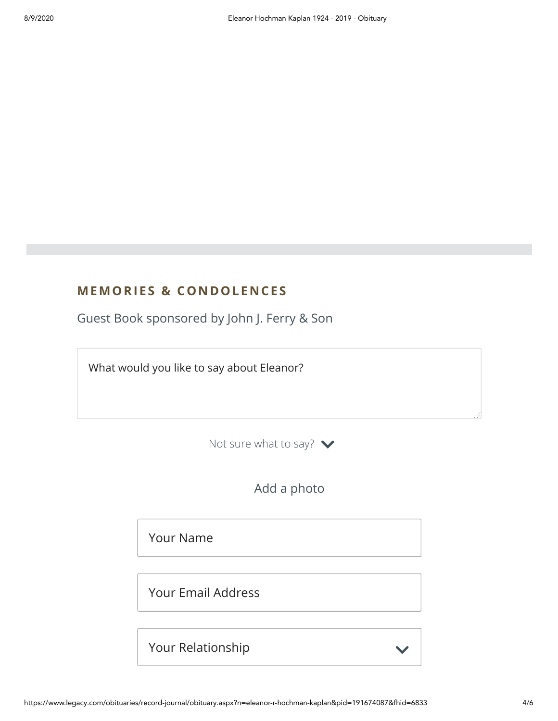#### **MEMORIES & CO N DOLE N CES**

Guest Book sponsored by John J. Ferry & Son

What would you like to say about Eleanor?

Not sure what to say?  $\blacktriangleright$ 

Add a photo

Your Name

Your Email Address

Your Relationship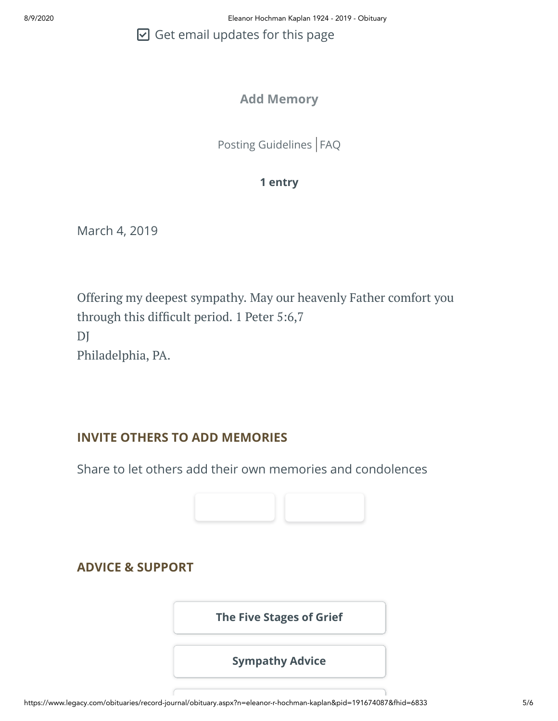$\boxdot$  Get email updates for this page

#### **Add Memory**

[Posting Guidelines](https://www.legacy.com/guestbooks/posting-guidelines.aspx?n=Eleanor-Hochman%20Kaplan&pid=191674087) | [FAQ](https://www.legacy.com/guestbooks/faq.aspx?n=Eleanor-Hochman%20Kaplan&pid=191674087)

#### **1 entry**

March 4, 2019

Offering my deepest sympathy. May our heavenly Father comfort you through this difficult period. 1 Peter 5:6,7 DJ Philadelphia, PA.

#### **INVITE OTHERS TO ADD MEMORIES**

Share to let others add their own memories and condolences



#### **ADVICE & SUPPORT**

**[The Five Stages of Grief](https://www.legacy.com/news/advice-and-support/article/the-five-stages-of-grief)**

**[Sympathy Advice](https://www.legacy.com/news/advice-and-support/article/sympathy-and-condolence-advice)**